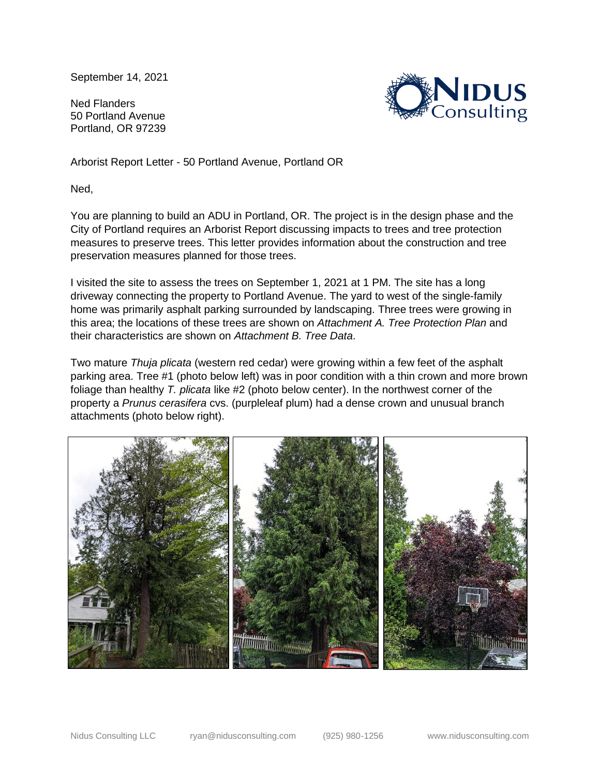September 14, 2021

Ned Flanders 50 Portland Avenue Portland, OR 97239



Arborist Report Letter - 50 Portland Avenue, Portland OR

Ned,

You are planning to build an ADU in Portland, OR. The project is in the design phase and the City of Portland requires an Arborist Report discussing impacts to trees and tree protection measures to preserve trees. This letter provides information about the construction and tree preservation measures planned for those trees.

I visited the site to assess the trees on September 1, 2021 at 1 PM. The site has a long driveway connecting the property to Portland Avenue. The yard to west of the single-family home was primarily asphalt parking surrounded by landscaping. Three trees were growing in this area; the locations of these trees are shown on *Attachment A. Tree Protection Plan* and their characteristics are shown on *Attachment B. Tree Data*.

Two mature *Thuja plicata* (western red cedar) were growing within a few feet of the asphalt parking area. Tree #1 (photo below left) was in poor condition with a thin crown and more brown foliage than healthy *T. plicata* like #2 (photo below center). In the northwest corner of the property a *Prunus cerasifera* cvs. (purpleleaf plum) had a dense crown and unusual branch attachments (photo below right).

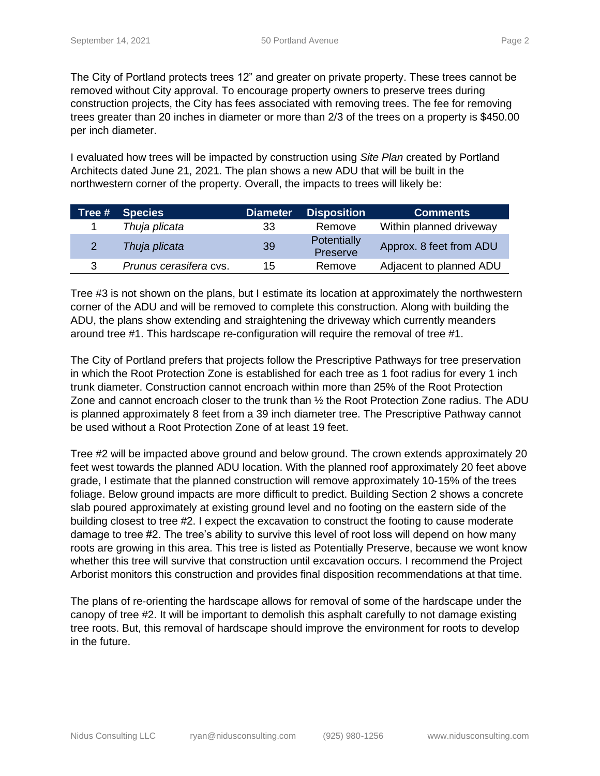The City of Portland protects trees 12" and greater on private property. These trees cannot be removed without City approval. To encourage property owners to preserve trees during construction projects, the City has fees associated with removing trees. The fee for removing trees greater than 20 inches in diameter or more than 2/3 of the trees on a property is \$450.00 per inch diameter.

I evaluated how trees will be impacted by construction using *Site Plan* created by Portland Architects dated June 21, 2021. The plan shows a new ADU that will be built in the northwestern corner of the property. Overall, the impacts to trees will likely be:

| Tree # | <b>Species</b>         | <b>Diameter</b> | <b>Disposition</b>      | <b>Comments</b>         |
|--------|------------------------|-----------------|-------------------------|-------------------------|
|        | Thuja plicata          | 33              | Remove                  | Within planned driveway |
| 2      | Thuja plicata          | 39              | Potentially<br>Preserve | Approx. 8 feet from ADU |
| 3      | Prunus cerasifera cvs. | 15              | Remove                  | Adjacent to planned ADU |

Tree #3 is not shown on the plans, but I estimate its location at approximately the northwestern corner of the ADU and will be removed to complete this construction. Along with building the ADU, the plans show extending and straightening the driveway which currently meanders around tree #1. This hardscape re-configuration will require the removal of tree #1.

The City of Portland prefers that projects follow the Prescriptive Pathways for tree preservation in which the Root Protection Zone is established for each tree as 1 foot radius for every 1 inch trunk diameter. Construction cannot encroach within more than 25% of the Root Protection Zone and cannot encroach closer to the trunk than ½ the Root Protection Zone radius. The ADU is planned approximately 8 feet from a 39 inch diameter tree. The Prescriptive Pathway cannot be used without a Root Protection Zone of at least 19 feet.

Tree #2 will be impacted above ground and below ground. The crown extends approximately 20 feet west towards the planned ADU location. With the planned roof approximately 20 feet above grade, I estimate that the planned construction will remove approximately 10-15% of the trees foliage. Below ground impacts are more difficult to predict. Building Section 2 shows a concrete slab poured approximately at existing ground level and no footing on the eastern side of the building closest to tree #2. I expect the excavation to construct the footing to cause moderate damage to tree #2. The tree's ability to survive this level of root loss will depend on how many roots are growing in this area. This tree is listed as Potentially Preserve, because we wont know whether this tree will survive that construction until excavation occurs. I recommend the Project Arborist monitors this construction and provides final disposition recommendations at that time.

The plans of re-orienting the hardscape allows for removal of some of the hardscape under the canopy of tree #2. It will be important to demolish this asphalt carefully to not damage existing tree roots. But, this removal of hardscape should improve the environment for roots to develop in the future.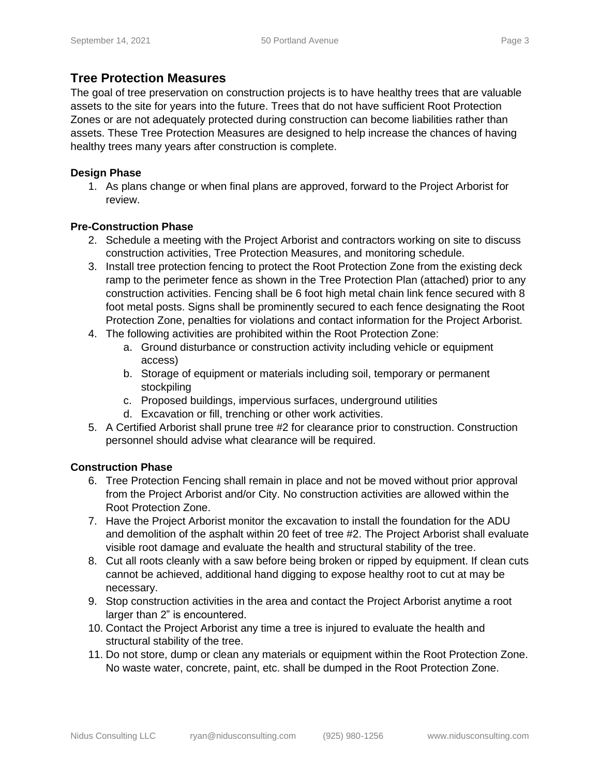# **Tree Protection Measures**

The goal of tree preservation on construction projects is to have healthy trees that are valuable assets to the site for years into the future. Trees that do not have sufficient Root Protection Zones or are not adequately protected during construction can become liabilities rather than assets. These Tree Protection Measures are designed to help increase the chances of having healthy trees many years after construction is complete.

## **Design Phase**

1. As plans change or when final plans are approved, forward to the Project Arborist for review.

### **Pre-Construction Phase**

- 2. Schedule a meeting with the Project Arborist and contractors working on site to discuss construction activities, Tree Protection Measures, and monitoring schedule.
- 3. Install tree protection fencing to protect the Root Protection Zone from the existing deck ramp to the perimeter fence as shown in the Tree Protection Plan (attached) prior to any construction activities. Fencing shall be 6 foot high metal chain link fence secured with 8 foot metal posts. Signs shall be prominently secured to each fence designating the Root Protection Zone, penalties for violations and contact information for the Project Arborist.
- 4. The following activities are prohibited within the Root Protection Zone:
	- a. Ground disturbance or construction activity including vehicle or equipment access)
	- b. Storage of equipment or materials including soil, temporary or permanent stockpiling
	- c. Proposed buildings, impervious surfaces, underground utilities
	- d. Excavation or fill, trenching or other work activities.
- 5. A Certified Arborist shall prune tree #2 for clearance prior to construction. Construction personnel should advise what clearance will be required.

# **Construction Phase**

- 6. Tree Protection Fencing shall remain in place and not be moved without prior approval from the Project Arborist and/or City. No construction activities are allowed within the Root Protection Zone.
- 7. Have the Project Arborist monitor the excavation to install the foundation for the ADU and demolition of the asphalt within 20 feet of tree #2. The Project Arborist shall evaluate visible root damage and evaluate the health and structural stability of the tree.
- 8. Cut all roots cleanly with a saw before being broken or ripped by equipment. If clean cuts cannot be achieved, additional hand digging to expose healthy root to cut at may be necessary.
- 9. Stop construction activities in the area and contact the Project Arborist anytime a root larger than 2" is encountered.
- 10. Contact the Project Arborist any time a tree is injured to evaluate the health and structural stability of the tree.
- 11. Do not store, dump or clean any materials or equipment within the Root Protection Zone. No waste water, concrete, paint, etc. shall be dumped in the Root Protection Zone.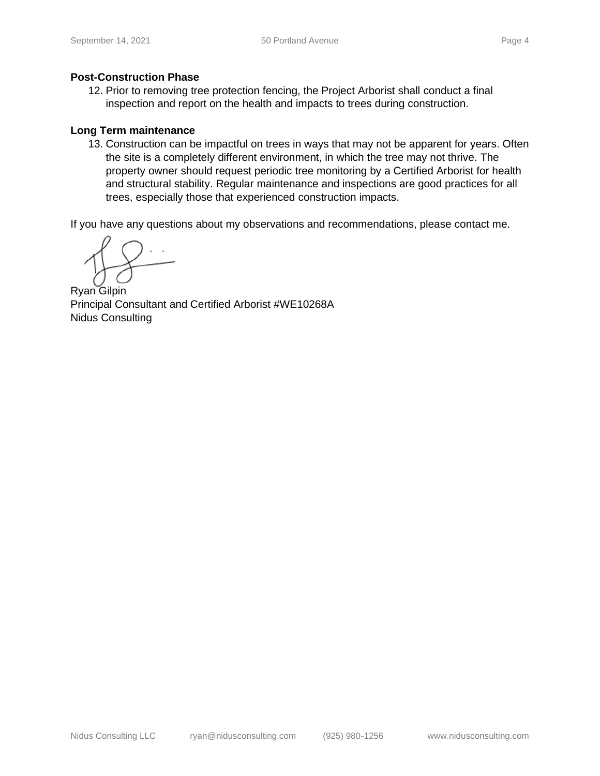#### **Post-Construction Phase**

12. Prior to removing tree protection fencing, the Project Arborist shall conduct a final inspection and report on the health and impacts to trees during construction.

#### **Long Term maintenance**

13. Construction can be impactful on trees in ways that may not be apparent for years. Often the site is a completely different environment, in which the tree may not thrive. The property owner should request periodic tree monitoring by a Certified Arborist for health and structural stability. Regular maintenance and inspections are good practices for all trees, especially those that experienced construction impacts.

If you have any questions about my observations and recommendations, please contact me.

Ryan Gilpin Principal Consultant and Certified Arborist #WE10268A Nidus Consulting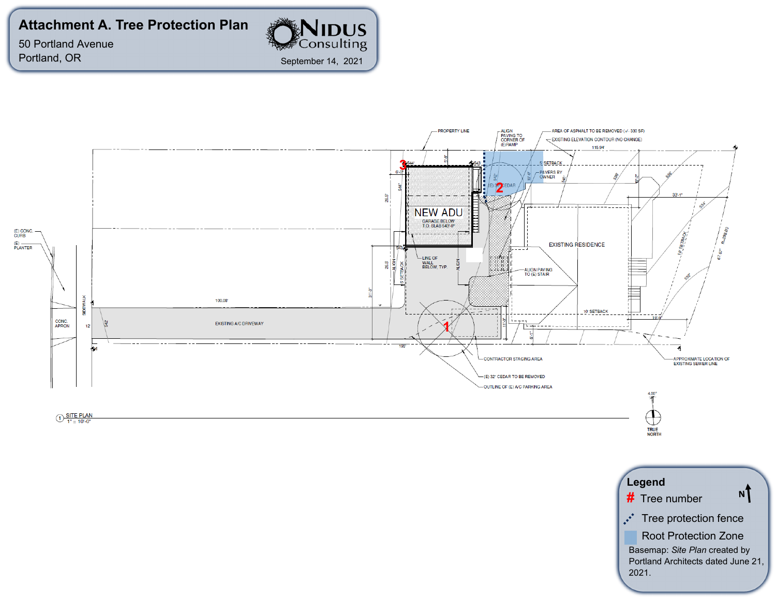# **Attachment A. Tree Protection Plan**

50 Portland Avenue Portland, OR



September 14, 2021

**NIDUS**<br>Consulting